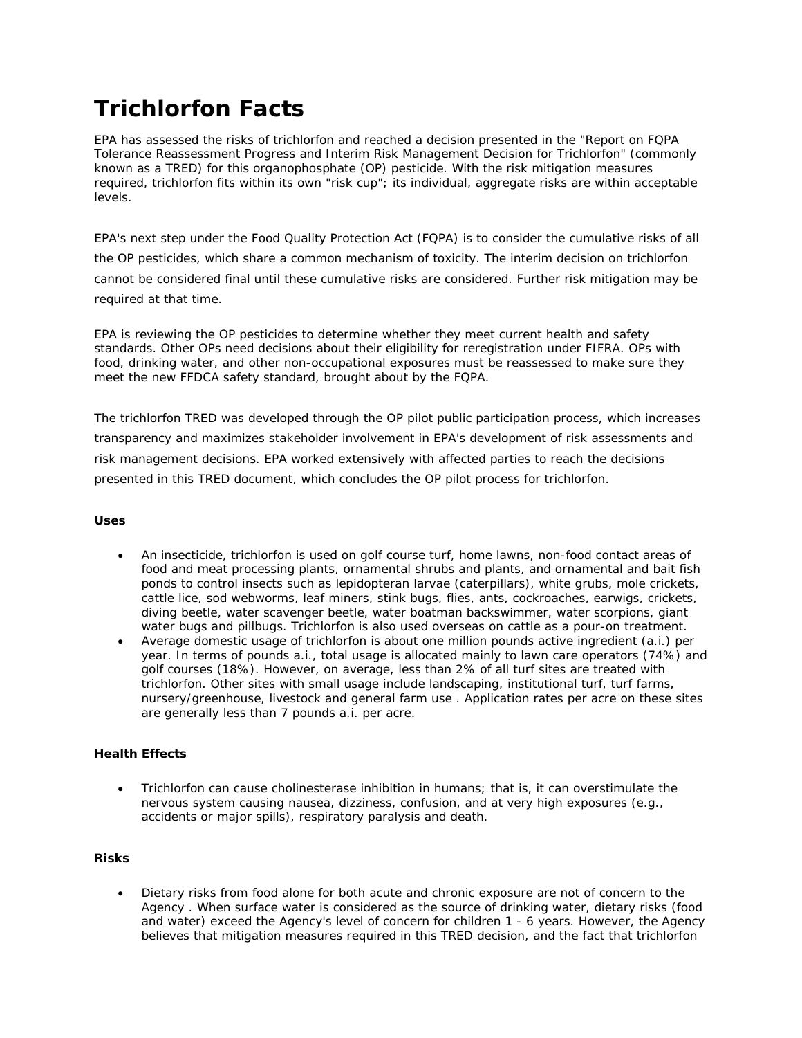# **Trichlorfon Facts**

EPA has assessed the risks of trichlorfon and reached a decision presented in the "Report on FQPA Tolerance Reassessment Progress and Interim Risk Management Decision for Trichlorfon" (commonly known as a TRED) for this organophosphate (OP) pesticide. With the risk mitigation measures required, trichlorfon fits within its own "risk cup"; its individual, aggregate risks are within acceptable levels.

EPA's next step under the Food Quality Protection Act (FQPA) is to consider the cumulative risks of all the OP pesticides, which share a common mechanism of toxicity. The interim decision on trichlorfon cannot be considered final until these cumulative risks are considered. Further risk mitigation may be required at that time.

EPA is reviewing the OP pesticides to determine whether they meet current health and safety standards. Other OPs need decisions about their eligibility for reregistration under FIFRA. OPs with food, drinking water, and other non-occupational exposures must be reassessed to make sure they meet the new FFDCA safety standard, brought about by the FQPA.

The trichlorfon TRED was developed through the OP pilot public participation process, which increases transparency and maximizes stakeholder involvement in EPA's development of risk assessments and risk management decisions. EPA worked extensively with affected parties to reach the decisions presented in this TRED document, which concludes the OP pilot process for trichlorfon.

# **Uses**

- An insecticide, trichlorfon is used on golf course turf, home lawns, non-food contact areas of food and meat processing plants, ornamental shrubs and plants, and ornamental and bait fish ponds to control insects such as lepidopteran larvae (caterpillars), white grubs, mole crickets, cattle lice, sod webworms, leaf miners, stink bugs, flies, ants, cockroaches, earwigs, crickets, diving beetle, water scavenger beetle, water boatman backswimmer, water scorpions, giant water bugs and pillbugs. Trichlorfon is also used overseas on cattle as a pour-on treatment.
- Average domestic usage of trichlorfon is about one million pounds active ingredient (a.i.) per year. In terms of pounds a.i., total usage is allocated mainly to lawn care operators (74%) and golf courses (18%). However, on average, less than 2% of all turf sites are treated with trichlorfon. Other sites with small usage include landscaping, institutional turf, turf farms, nursery/greenhouse, livestock and general farm use . Application rates per acre on these sites are generally less than 7 pounds a.i. per acre.

# **Health Effects**

• Trichlorfon can cause cholinesterase inhibition in humans; that is, it can overstimulate the nervous system causing nausea, dizziness, confusion, and at very high exposures (e.g., accidents or major spills), respiratory paralysis and death.

#### **Risks**

• Dietary risks from food alone for both acute and chronic exposure are not of concern to the Agency . When surface water is considered as the source of drinking water, dietary risks (food and water) exceed the Agency's level of concern for children 1 - 6 years. However, the Agency believes that mitigation measures required in this TRED decision, and the fact that trichlorfon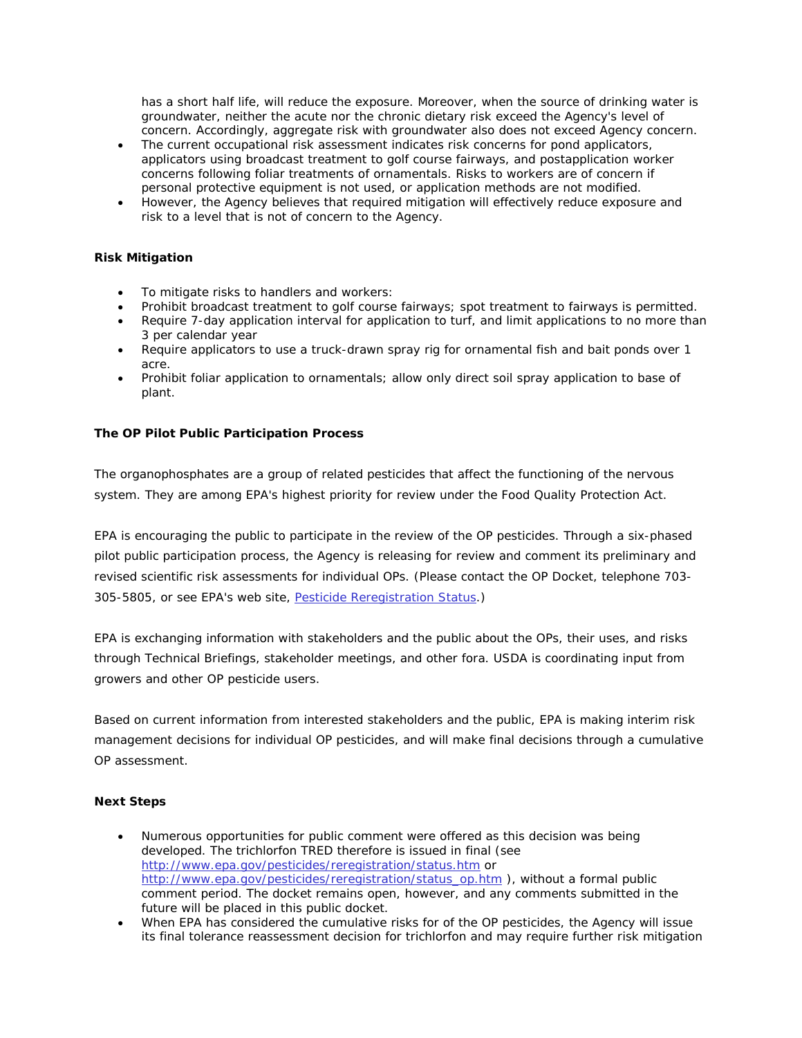has a short half life, will reduce the exposure. Moreover, when the source of drinking water is groundwater, neither the acute nor the chronic dietary risk exceed the Agency's level of concern. Accordingly, aggregate risk with groundwater also does not exceed Agency concern.

- The current occupational risk assessment indicates risk concerns for pond applicators, applicators using broadcast treatment to golf course fairways, and postapplication worker concerns following foliar treatments of ornamentals. Risks to workers are of concern if personal protective equipment is not used, or application methods are not modified.
- However, the Agency believes that required mitigation will effectively reduce exposure and risk to a level that is not of concern to the Agency.

# **Risk Mitigation**

- To mitigate risks to handlers and workers:
- Prohibit broadcast treatment to golf course fairways; spot treatment to fairways is permitted.
- Require 7-day application interval for application to turf, and limit applications to no more than 3 per calendar year
- Require applicators to use a truck-drawn spray rig for ornamental fish and bait ponds over 1 acre.
- Prohibit foliar application to ornamentals; allow only direct soil spray application to base of plant.

# **The OP Pilot Public Participation Process**

The organophosphates are a group of related pesticides that affect the functioning of the nervous system. They are among EPA's highest priority for review under the Food Quality Protection Act.

EPA is encouraging the public to participate in the review of the OP pesticides. Through a six-phased pilot public participation process, the Agency is releasing for review and comment its preliminary and revised scientific risk assessments for individual OPs. (Please contact the OP Docket, telephone 703- 305-5805, or see EPA's web site, Pesticide Reregistration Status.)

EPA is exchanging information with stakeholders and the public about the OPs, their uses, and risks through Technical Briefings, stakeholder meetings, and other fora. USDA is coordinating input from growers and other OP pesticide users.

Based on current information from interested stakeholders and the public, EPA is making interim risk management decisions for individual OP pesticides, and will make final decisions through a cumulative OP assessment.

# **Next Steps**

- Numerous opportunities for public comment were offered as this decision was being developed. The trichlorfon TRED therefore is issued in final (see http://www.epa.gov/pesticides/reregistration/status.htm or http://www.epa.gov/pesticides/reregistration/status\_op.htm ), without a formal public comment period. The docket remains open, however, and any comments submitted in the future will be placed in this public docket.
- When EPA has considered the cumulative risks for of the OP pesticides, the Agency will issue its final tolerance reassessment decision for trichlorfon and may require further risk mitigation